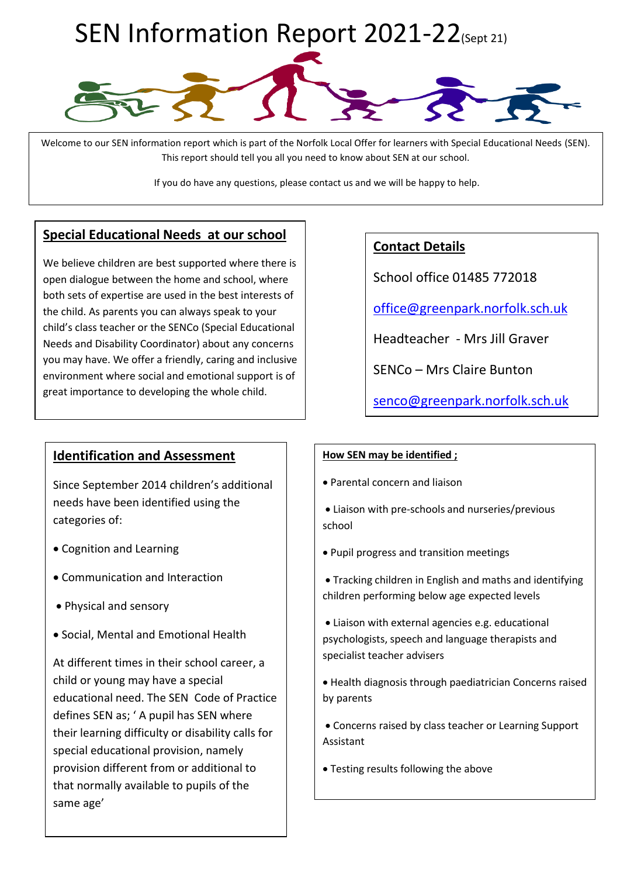

Welcome to our SEN information report which is part of the Norfolk Local Offer for learners with Special Educational Needs (SEN). This report should tell you all you need to know about SEN at our school.

If you do have any questions, please contact us and we will be happy to help.

# **Special Educational Needs at our school**

We believe children are best supported where there is open dialogue between the home and school, where both sets of expertise are used in the best interests of the child. As parents you can always speak to your child's class teacher or the SENCo (Special Educational Needs and Disability Coordinator) about any concerns you may have. We offer a friendly, caring and inclusive environment where social and emotional support is of great importance to developing the whole child.

# **Identification and Assessment**

Since September 2014 children's additional needs have been identified using the categories of:

- Cognition and Learning
- Communication and Interaction
- Physical and sensory
- Social, Mental and Emotional Health

At different times in their school career, a child or young may have a special educational need. The SEN Code of Practice defines SEN as; ' A pupil has SEN where their learning difficulty or disability calls for special educational provision, namely provision different from or additional to that normally available to pupils of the same age'

# **Contact Details**

School office 01485 772018

office@greenpark.norfolk.sch.uk

Headteacher - Mrs Jill Graver

SENCo – Mrs Claire Bunton

[senco@greenpark.norfolk.sch.uk](mailto:senco@greenpark.norfolk.sch.uk)

#### **How SEN may be identified ;**

- Parental concern and liaison
- Liaison with pre-schools and nurseries/previous school
- Pupil progress and transition meetings
- Tracking children in English and maths and identifying children performing below age expected levels
- Liaison with external agencies e.g. educational psychologists, speech and language therapists and specialist teacher advisers
- Health diagnosis through paediatrician Concerns raised by parents
- Concerns raised by class teacher or Learning Support Assistant
- Testing results following the above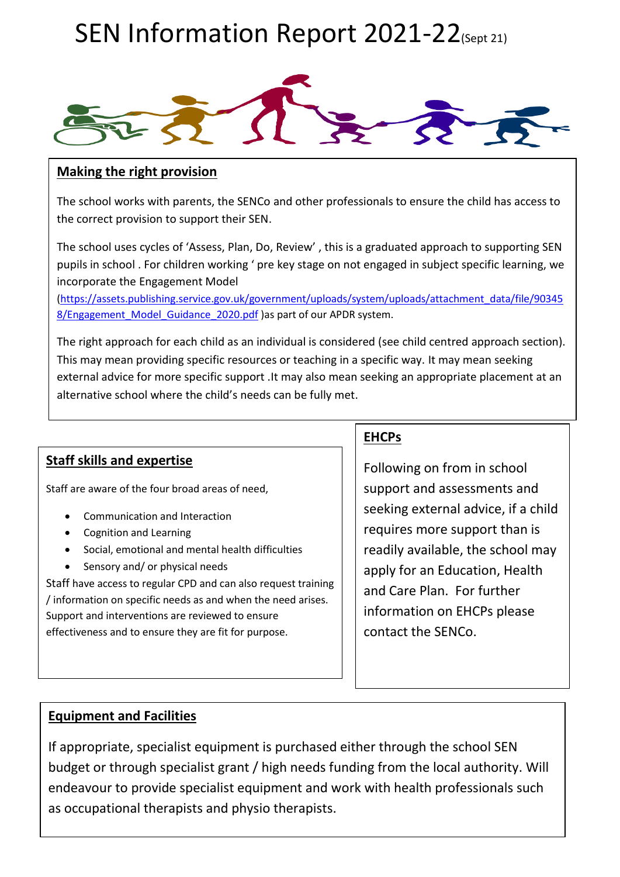

### **Making the right provision**

The school works with parents, the SENCo and other professionals to ensure the child has access to the correct provision to support their SEN.

The school uses cycles of 'Assess, Plan, Do, Review' , this is a graduated approach to supporting SEN pupils in school . For children working ' pre key stage on not engaged in subject specific learning, we incorporate the Engagement Model

[\(https://assets.publishing.service.gov.uk/government/uploads/system/uploads/attachment\\_data/file/90345](https://assets.publishing.service.gov.uk/government/uploads/system/uploads/attachment_data/file/903458/Engagement_Model_Guidance_2020.pdf) 8/Engagement Model Guidance 2020.pdf )as part of our APDR system.

The right approach for each child as an individual is considered (see child centred approach section). This may mean providing specific resources or teaching in a specific way. It may mean seeking external advice for more specific support .It may also mean seeking an appropriate placement at an alternative school where the child's needs can be fully met.

# **Staff skills and expertise**

Staff are aware of the four broad areas of need,

- Communication and Interaction
- Cognition and Learning
- Social, emotional and mental health difficulties
- Sensory and/ or physical needs

Staff have access to regular CPD and can also request training / information on specific needs as and when the need arises. Support and interventions are reviewed to ensure effectiveness and to ensure they are fit for purpose.

# **EHCPs**

Following on from in school support and assessments and seeking external advice, if a child requires more support than is readily available, the school may apply for an Education, Health and Care Plan. For further information on EHCPs please contact the SENCo.

# **Equipment and Facilities**

If appropriate, specialist equipment is purchased either through the school SEN budget or through specialist grant / high needs funding from the local authority. Will endeavour to provide specialist equipment and work with health professionals such as occupational therapists and physio therapists.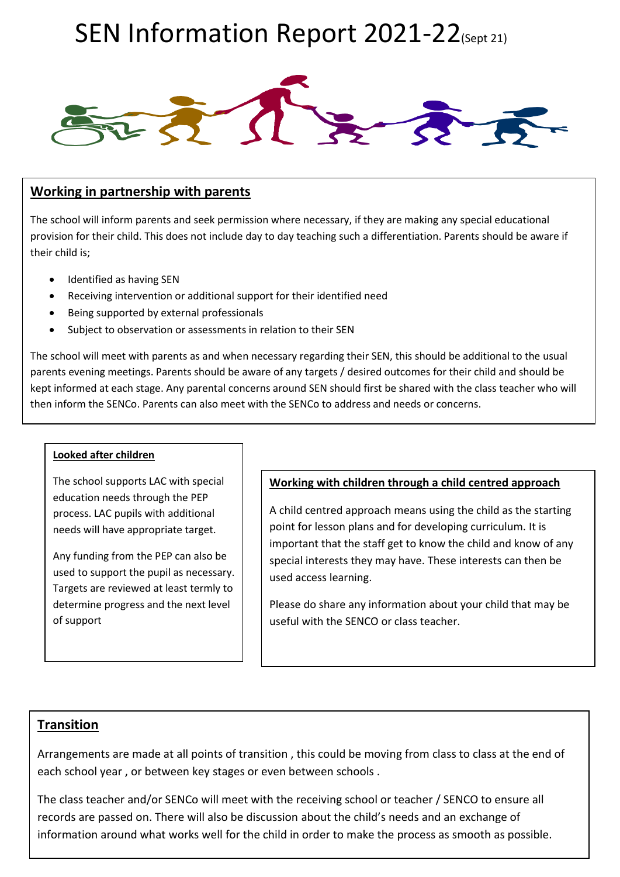

### **Working in partnership with parents**

The school will inform parents and seek permission where necessary, if they are making any special educational provision for their child. This does not include day to day teaching such a differentiation. Parents should be aware if their child is;

- Identified as having SEN
- Receiving intervention or additional support for their identified need
- Being supported by external professionals
- Subject to observation or assessments in relation to their SEN

The school will meet with parents as and when necessary regarding their SEN, this should be additional to the usual parents evening meetings. Parents should be aware of any targets / desired outcomes for their child and should be kept informed at each stage. Any parental concerns around SEN should first be shared with the class teacher who will then inform the SENCo. Parents can also meet with the SENCo to address and needs or concerns.

#### **Looked after children**

The school supports LAC with special education needs through the PEP process. LAC pupils with additional needs will have appropriate target.

Any funding from the PEP can also be used to support the pupil as necessary. Targets are reviewed at least termly to determine progress and the next level of support

#### **Working with children through a child centred approach**

A child centred approach means using the child as the starting point for lesson plans and for developing curriculum. It is important that the staff get to know the child and know of any special interests they may have. These interests can then be used access learning.

Please do share any information about your child that may be useful with the SENCO or class teacher.

### **Transition**

Arrangements are made at all points of transition , this could be moving from class to class at the end of each school year , or between key stages or even between schools .

The class teacher and/or SENCo will meet with the receiving school or teacher / SENCO to ensure all records are passed on. There will also be discussion about the child's needs and an exchange of information around what works well for the child in order to make the process as smooth as possible.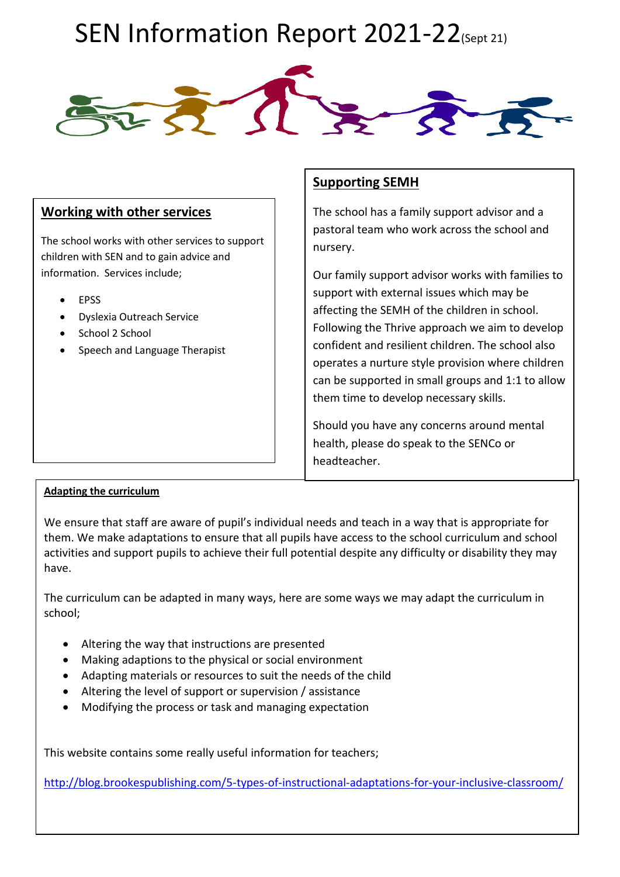

### **Working with other services**

The school works with other services to support children with SEN and to gain advice and information. Services include;

- EPSS
- Dyslexia Outreach Service
- School 2 School
- Speech and Language Therapist

## **Supporting SEMH**

The school has a family support advisor and a pastoral team who work across the school and nursery.

Our family support advisor works with families to support with external issues which may be affecting the SEMH of the children in school. Following the Thrive approach we aim to develop confident and resilient children. The school also operates a nurture style provision where children can be supported in small groups and 1:1 to allow them time to develop necessary skills.

Should you have any concerns around mental health, please do speak to the SENCo or headteacher.

#### **Adapting the curriculum**

We ensure that staff are aware of pupil's individual needs and teach in a way that is appropriate for them. We make adaptations to ensure that all pupils have access to the school curriculum and school activities and support pupils to achieve their full potential despite any difficulty or disability they may have.

The curriculum can be adapted in many ways, here are some ways we may adapt the curriculum in school;

- Altering the way that instructions are presented
- Making adaptions to the physical or social environment
- Adapting materials or resources to suit the needs of the child
- Altering the level of support or supervision / assistance
- Modifying the process or task and managing expectation

This website contains some really useful information for teachers;

<http://blog.brookespublishing.com/5-types-of-instructional-adaptations-for-your-inclusive-classroom/>